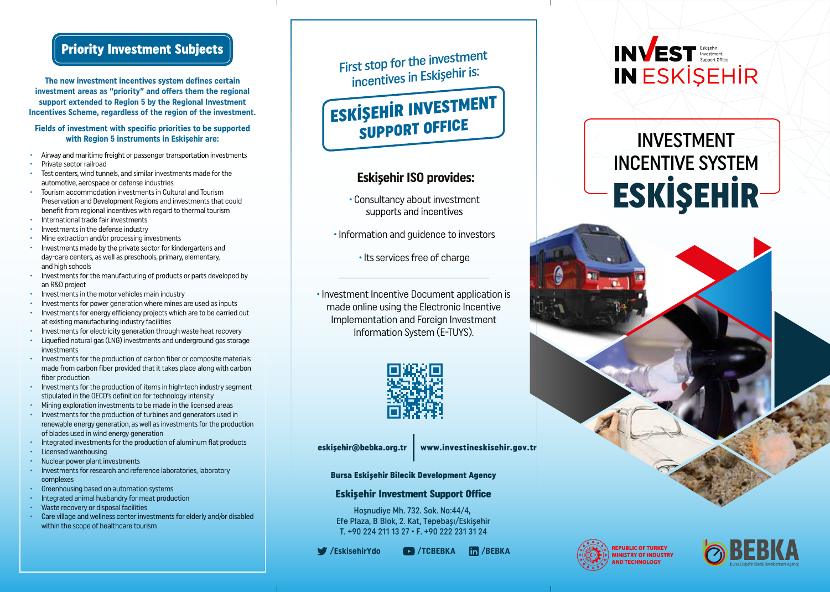# Priority Investment Subjects

The new investment incentives system defines certain **investment areas as "priority" and offers them the regional**  support extended to Region 5 by the Regional Investment **Incentives Scheme, regardless of the region of the investment.**

#### Fields of investment with specific priorities to be supported **with Region 5 instruments in Eskişehir are:**

- Airway and maritime freight or passenger transportation investments
- Private sector railroad
- Test centers, wind tunnels, and similar investments made for the automotive, aerospace or defense industries
- Tourism accommodation investments in Cultural and Tourism Preservation and Development Regions and investments that could benefit from regional incentives with regard to thermal tourism • International trade fair investments
- Investments in the defense industry
- 
- Mine extraction and/or processing investments
- Investments made by the private sector for kindergartens and day-care centers, as well as preschools, primary, elementary, and high schools
- Investments for the manufacturing of products or parts developed by • an R&D project
- Investments in the motor vehicles main industry
- Investments for power generation where mines are used as inputs
- Investments for energy efficiency projects which are to be carried out at existing manufacturing industry facilities
- Investments for electricity generation through waste heat recovery
- Liquefied natural gas (LNG) investments and underground gas storage investments
- Investments for the production of carbon fiber or composite materials made from carbon fiber provided that it takes place along with carbon fiber production
- Investments for the production of items in high-tech industry segment stipulated in the OECD's definition for technology intensity
- Mining exploration investments to be made in the licensed areas
- Investments for the production of turbines and generators used in renewable energy generation, as well as investments for the production of blades used in wind energy generation
- Integrated investments for the production of aluminum flat products
- Licensed warehousing
- Nuclear power plant investments
- Investments for research and reference laboratories, laboratory complexes
- Greenhousing based on automation systems
- Integrated animal husbandry for meat production
- Waste recovery or disposal facilities
- Care village and wellness center investments for elderly and/or disabled within the scope of healthcare tourism

First stop for the investment incentives in Eskişehir is:

ESKİŞEHİR INVESTMENT SUPPORT OFFICE

### **Eskişehir ISO provides:**

- · Consultancy about investment
- · Information and guidence to investors

• Its services free of charge

· Investment Incentive Document application is made online using the Electronic Incentive Implementation and Foreign Investment Information System (E-TUYS).



eskişehir@bebka.org.tr www.investineskisehir.gov.tr

Bursa Eskişehir Bilecik Development Agency

### Eskişehir Investment Support Office

Hoşnudiye Mh. 732. Sok. No:44/4, Efe Plaza, B Blok, 2. Kat, Tepebaşı/Eskişehir T. +90 224 211 13 27 • F. +90 222 231 31 24

**/EskisehirYdo /TCBEBKA /BEBKA**



# INVESTMENT INCENTIVE SYSTEM ESKİŞEHİR